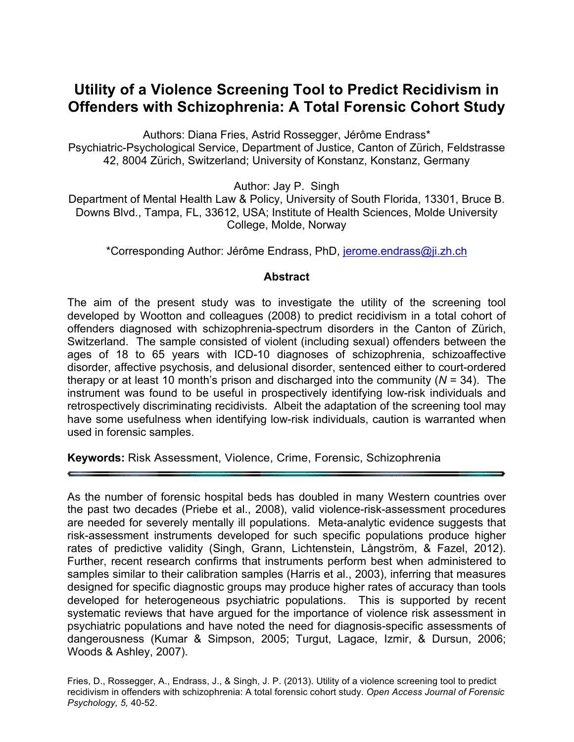# **Utility of a Violence Screening Tool to Predict Recidivism in Offenders with Schizophrenia: A Total Forensic Cohort Study**

Authors: Diana Fries, Astrid Rossegger, Jérôme Endrass\* Psychiatric-Psychological Service, Department of Justice, Canton of Zürich, Feldstrasse 42, 8004 Zürich, Switzerland; University of Konstanz, Konstanz, Germany

Author: Jay P. Singh

Department of Mental Health Law & Policy, University of South Florida, 13301, Bruce B. Downs Blvd., Tampa, FL, 33612, USA; Institute of Health Sciences, Molde University College, Molde, Norway

\*Corresponding Author: Jérôme Endrass, PhD, jerome.endrass@ji.zh.ch

# **Abstract**

The aim of the present study was to investigate the utility of the screening tool developed by Wootton and colleagues (2008) to predict recidivism in a total cohort of offenders diagnosed with schizophrenia-spectrum disorders in the Canton of Zürich, Switzerland. The sample consisted of violent (including sexual) offenders between the ages of 18 to 65 years with ICD-10 diagnoses of schizophrenia, schizoaffective disorder, affective psychosis, and delusional disorder, sentenced either to court-ordered therapy or at least 10 month's prison and discharged into the community (*N* = 34). The instrument was found to be useful in prospectively identifying low-risk individuals and retrospectively discriminating recidivists. Albeit the adaptation of the screening tool may have some usefulness when identifying low-risk individuals, caution is warranted when used in forensic samples.

**Keywords:** Risk Assessment, Violence, Crime, Forensic, Schizophrenia

As the number of forensic hospital beds has doubled in many Western countries over the past two decades (Priebe et al., 2008), valid violence-risk-assessment procedures are needed for severely mentally ill populations. Meta-analytic evidence suggests that risk-assessment instruments developed for such specific populations produce higher rates of predictive validity (Singh, Grann, Lichtenstein, Långström, & Fazel, 2012). Further, recent research confirms that instruments perform best when administered to samples similar to their calibration samples (Harris et al., 2003), inferring that measures designed for specific diagnostic groups may produce higher rates of accuracy than tools developed for heterogeneous psychiatric populations. This is supported by recent systematic reviews that have argued for the importance of violence risk assessment in psychiatric populations and have noted the need for diagnosis-specific assessments of dangerousness (Kumar & Simpson, 2005; Turgut, Lagace, Izmir, & Dursun, 2006; Woods & Ashley, 2007).

Fries, D., Rossegger, A., Endrass, J., & Singh, J. P. (2013). Utility of a violence screening tool to predict recidivism in offenders with schizophrenia: A total forensic cohort study. *Open Access Journal of Forensic Psychology, 5,* 40-52.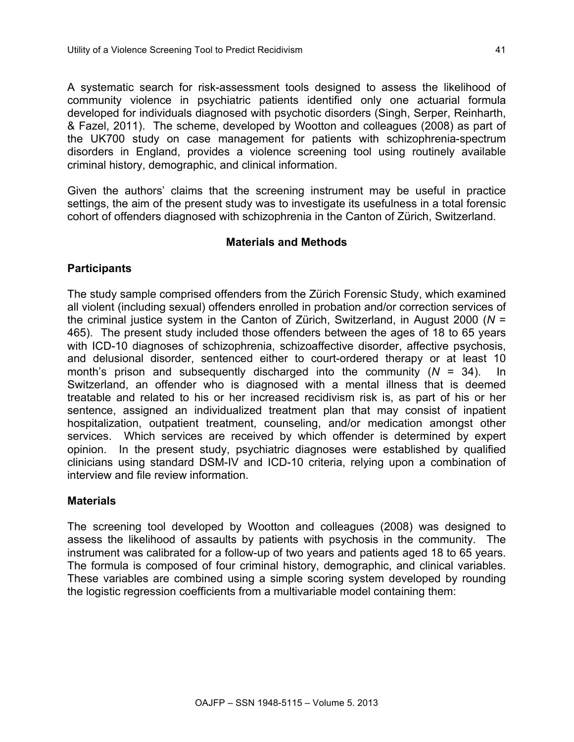A systematic search for risk-assessment tools designed to assess the likelihood of community violence in psychiatric patients identified only one actuarial formula developed for individuals diagnosed with psychotic disorders (Singh, Serper, Reinharth, & Fazel, 2011). The scheme, developed by Wootton and colleagues (2008) as part of the UK700 study on case management for patients with schizophrenia-spectrum disorders in England, provides a violence screening tool using routinely available criminal history, demographic, and clinical information.

Given the authors' claims that the screening instrument may be useful in practice settings, the aim of the present study was to investigate its usefulness in a total forensic cohort of offenders diagnosed with schizophrenia in the Canton of Zürich, Switzerland.

### **Materials and Methods**

## **Participants**

The study sample comprised offenders from the Zürich Forensic Study, which examined all violent (including sexual) offenders enrolled in probation and/or correction services of the criminal justice system in the Canton of Zürich, Switzerland, in August 2000 (*N* = 465). The present study included those offenders between the ages of 18 to 65 years with ICD-10 diagnoses of schizophrenia, schizoaffective disorder, affective psychosis, and delusional disorder, sentenced either to court-ordered therapy or at least 10 month's prison and subsequently discharged into the community (*N* = 34). In Switzerland, an offender who is diagnosed with a mental illness that is deemed treatable and related to his or her increased recidivism risk is, as part of his or her sentence, assigned an individualized treatment plan that may consist of inpatient hospitalization, outpatient treatment, counseling, and/or medication amongst other services. Which services are received by which offender is determined by expert opinion. In the present study, psychiatric diagnoses were established by qualified clinicians using standard DSM-IV and ICD-10 criteria, relying upon a combination of interview and file review information.

### **Materials**

The screening tool developed by Wootton and colleagues (2008) was designed to assess the likelihood of assaults by patients with psychosis in the community. The instrument was calibrated for a follow-up of two years and patients aged 18 to 65 years. The formula is composed of four criminal history, demographic, and clinical variables. These variables are combined using a simple scoring system developed by rounding the logistic regression coefficients from a multivariable model containing them: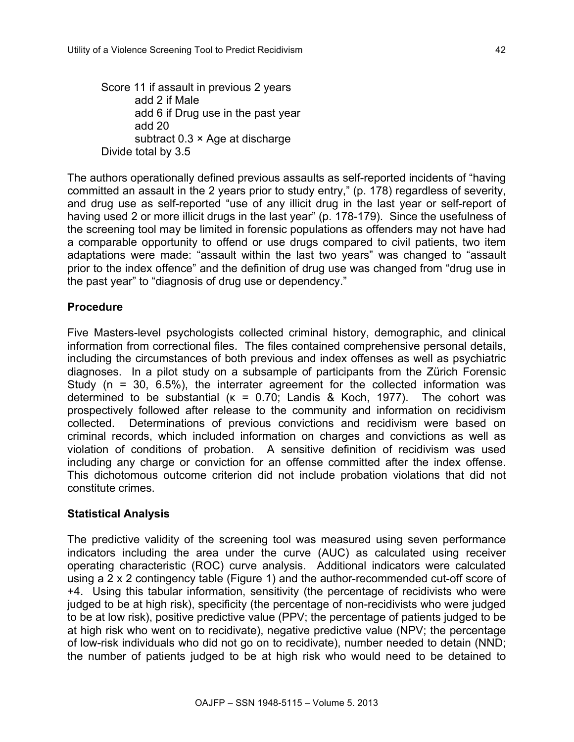Score 11 if assault in previous 2 years add 2 if Male add 6 if Drug use in the past year add 20 subtract 0.3 × Age at discharge Divide total by 3.5

The authors operationally defined previous assaults as self-reported incidents of "having committed an assault in the 2 years prior to study entry," (p. 178) regardless of severity, and drug use as self-reported "use of any illicit drug in the last year or self-report of having used 2 or more illicit drugs in the last year" (p. 178-179). Since the usefulness of the screening tool may be limited in forensic populations as offenders may not have had a comparable opportunity to offend or use drugs compared to civil patients, two item adaptations were made: "assault within the last two years" was changed to "assault prior to the index offence" and the definition of drug use was changed from "drug use in the past year" to "diagnosis of drug use or dependency."

# **Procedure**

Five Masters-level psychologists collected criminal history, demographic, and clinical information from correctional files. The files contained comprehensive personal details, including the circumstances of both previous and index offenses as well as psychiatric diagnoses. In a pilot study on a subsample of participants from the Zürich Forensic Study ( $n = 30$ , 6.5%), the interrater agreement for the collected information was determined to be substantial  $(K = 0.70)$ ; Landis & Koch, 1977). The cohort was prospectively followed after release to the community and information on recidivism collected. Determinations of previous convictions and recidivism were based on criminal records, which included information on charges and convictions as well as violation of conditions of probation. A sensitive definition of recidivism was used including any charge or conviction for an offense committed after the index offense. This dichotomous outcome criterion did not include probation violations that did not constitute crimes.

# **Statistical Analysis**

The predictive validity of the screening tool was measured using seven performance indicators including the area under the curve (AUC) as calculated using receiver operating characteristic (ROC) curve analysis. Additional indicators were calculated using a 2 x 2 contingency table (Figure 1) and the author-recommended cut-off score of +4. Using this tabular information, sensitivity (the percentage of recidivists who were judged to be at high risk), specificity (the percentage of non-recidivists who were judged to be at low risk), positive predictive value (PPV; the percentage of patients judged to be at high risk who went on to recidivate), negative predictive value (NPV; the percentage of low-risk individuals who did not go on to recidivate), number needed to detain (NND; the number of patients judged to be at high risk who would need to be detained to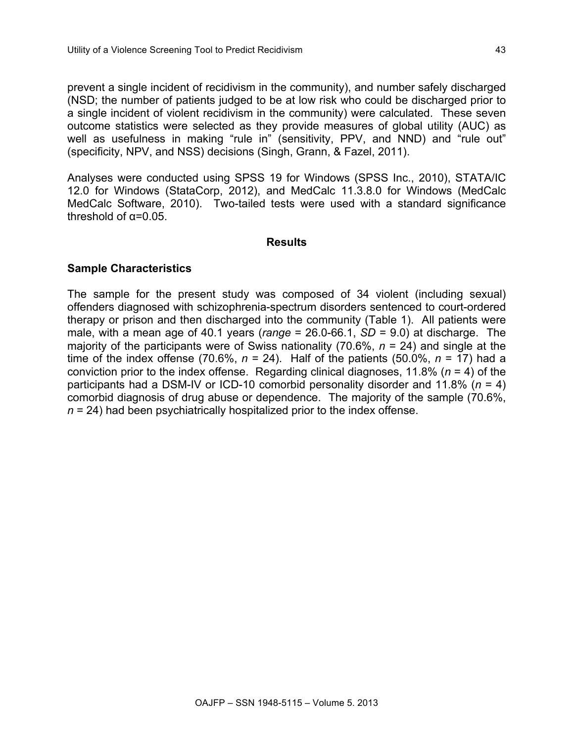prevent a single incident of recidivism in the community), and number safely discharged (NSD; the number of patients judged to be at low risk who could be discharged prior to a single incident of violent recidivism in the community) were calculated. These seven outcome statistics were selected as they provide measures of global utility (AUC) as well as usefulness in making "rule in" (sensitivity, PPV, and NND) and "rule out" (specificity, NPV, and NSS) decisions (Singh, Grann, & Fazel, 2011).

Analyses were conducted using SPSS 19 for Windows (SPSS Inc., 2010), STATA/IC 12.0 for Windows (StataCorp, 2012), and MedCalc 11.3.8.0 for Windows (MedCalc MedCalc Software, 2010). Two-tailed tests were used with a standard significance threshold of  $\alpha$ =0.05.

#### **Results**

### **Sample Characteristics**

The sample for the present study was composed of 34 violent (including sexual) offenders diagnosed with schizophrenia-spectrum disorders sentenced to court-ordered therapy or prison and then discharged into the community (Table 1). All patients were male, with a mean age of 40.1 years (*range* = 26.0-66.1, *SD* = 9.0) at discharge. The majority of the participants were of Swiss nationality (70.6%, *n* = 24) and single at the time of the index offense (70.6%,  $n = 24$ ). Half of the patients (50.0%,  $n = 17$ ) had a conviction prior to the index offense. Regarding clinical diagnoses, 11.8% (*n* = 4) of the participants had a DSM-IV or ICD-10 comorbid personality disorder and 11.8% (*n* = 4) comorbid diagnosis of drug abuse or dependence. The majority of the sample (70.6%, *n* = 24) had been psychiatrically hospitalized prior to the index offense.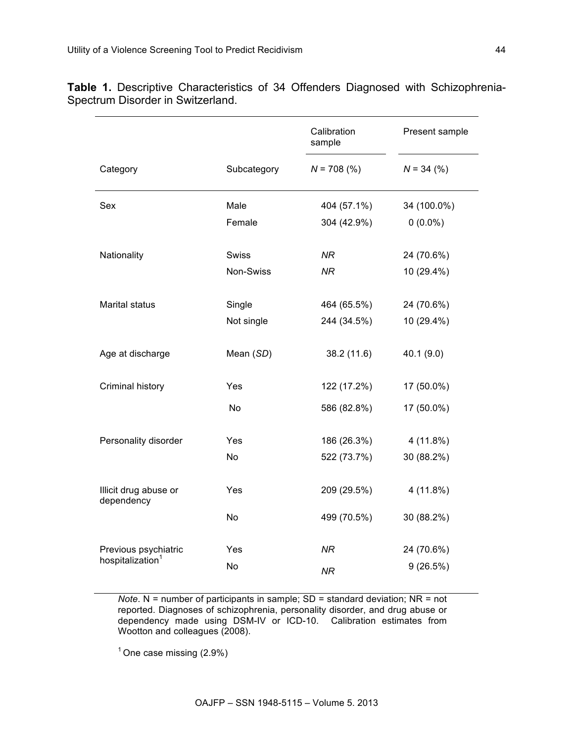|                                     |             | Calibration<br>sample | Present sample |  |  |
|-------------------------------------|-------------|-----------------------|----------------|--|--|
| Category                            | Subcategory | $N = 708$ (%)         | $N = 34 (%)$   |  |  |
| Sex                                 | Male        | 404 (57.1%)           | 34 (100.0%)    |  |  |
|                                     | Female      | 304 (42.9%)           | $0(0.0\%)$     |  |  |
| Nationality                         | Swiss       | NR.                   | 24 (70.6%)     |  |  |
|                                     | Non-Swiss   | <b>NR</b>             | 10 (29.4%)     |  |  |
| <b>Marital status</b>               | Single      | 464 (65.5%)           | 24 (70.6%)     |  |  |
|                                     | Not single  | 244 (34.5%)           | 10 (29.4%)     |  |  |
| Age at discharge                    | Mean (SD)   | 38.2(11.6)            | 40.1 (9.0)     |  |  |
| Criminal history                    | Yes         | 122 (17.2%)           | 17 (50.0%)     |  |  |
|                                     | No          | 586 (82.8%)           | 17 (50.0%)     |  |  |
| Personality disorder                | Yes         | 186 (26.3%)           | $4(11.8\%)$    |  |  |
|                                     | No          | 522 (73.7%)           | 30 (88.2%)     |  |  |
| Illicit drug abuse or<br>dependency | Yes         | 209 (29.5%)           | 4 (11.8%)      |  |  |
|                                     | No          | 499 (70.5%)           | 30 (88.2%)     |  |  |
| Previous psychiatric                | Yes         | <b>NR</b>             | 24 (70.6%)     |  |  |
| hospitalization <sup>1</sup>        | No          | <b>NR</b>             | 9(26.5%)       |  |  |

**Table 1.** Descriptive Characteristics of 34 Offenders Diagnosed with Schizophrenia-Spectrum Disorder in Switzerland.

> *Note*. N = number of participants in sample; SD = standard deviation; NR = not reported. Diagnoses of schizophrenia, personality disorder, and drug abuse or dependency made using DSM-IV or ICD-10. Calibration estimates from Wootton and colleagues (2008).

 $1$  One case missing (2.9%)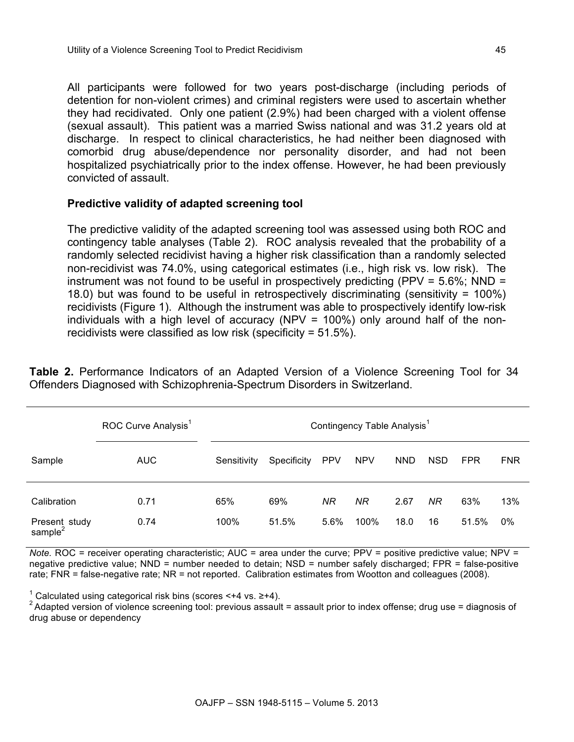All participants were followed for two years post-discharge (including periods of detention for non-violent crimes) and criminal registers were used to ascertain whether they had recidivated. Only one patient (2.9%) had been charged with a violent offense (sexual assault). This patient was a married Swiss national and was 31.2 years old at discharge. In respect to clinical characteristics, he had neither been diagnosed with comorbid drug abuse/dependence nor personality disorder, and had not been hospitalized psychiatrically prior to the index offense. However, he had been previously convicted of assault.

# **Predictive validity of adapted screening tool**

The predictive validity of the adapted screening tool was assessed using both ROC and contingency table analyses (Table 2). ROC analysis revealed that the probability of a randomly selected recidivist having a higher risk classification than a randomly selected non-recidivist was 74.0%, using categorical estimates (i.e., high risk vs. low risk). The instrument was not found to be useful in prospectively predicting (PPV = 5.6%; NND = 18.0) but was found to be useful in retrospectively discriminating (sensitivity = 100%) recidivists (Figure 1). Although the instrument was able to prospectively identify low-risk individuals with a high level of accuracy (NPV = 100%) only around half of the nonrecidivists were classified as low risk (specificity = 51.5%).

**Table 2.** Performance Indicators of an Adapted Version of a Violence Screening Tool for 34 Offenders Diagnosed with Schizophrenia-Spectrum Disorders in Switzerland.

|                                      | ROC Curve Analysis <sup>1</sup> | Contingency Table Analysis <sup>1</sup> |             |            |            |            |            |            |            |
|--------------------------------------|---------------------------------|-----------------------------------------|-------------|------------|------------|------------|------------|------------|------------|
| Sample                               | <b>AUC</b>                      | Sensitivity                             | Specificity | <b>PPV</b> | <b>NPV</b> | <b>NND</b> | <b>NSD</b> | <b>FPR</b> | <b>FNR</b> |
| Calibration                          | 0.71                            | 65%                                     | 69%         | ΝR         | NR         | 2.67       | NR         | 63%        | 13%        |
| Present study<br>sample <sup>2</sup> | 0.74                            | 100%                                    | 51.5%       | 5.6%       | 100%       | 18.0       | 16         | 51.5%      | $0\%$      |

*Note.* ROC = receiver operating characteristic; AUC = area under the curve; PPV = positive predictive value; NPV = negative predictive value; NND = number needed to detain; NSD = number safely discharged; FPR = false-positive rate; FNR = false-negative rate; NR = not reported. Calibration estimates from Wootton and colleagues (2008).

<sup>1</sup> Calculated using categorical risk bins (scores <+4 vs. ≥+4).<br><sup>2</sup> Adapted version of violence screening tool: previous assault = assault prior to index offense; drug use = diagnosis of drug abuse or dependency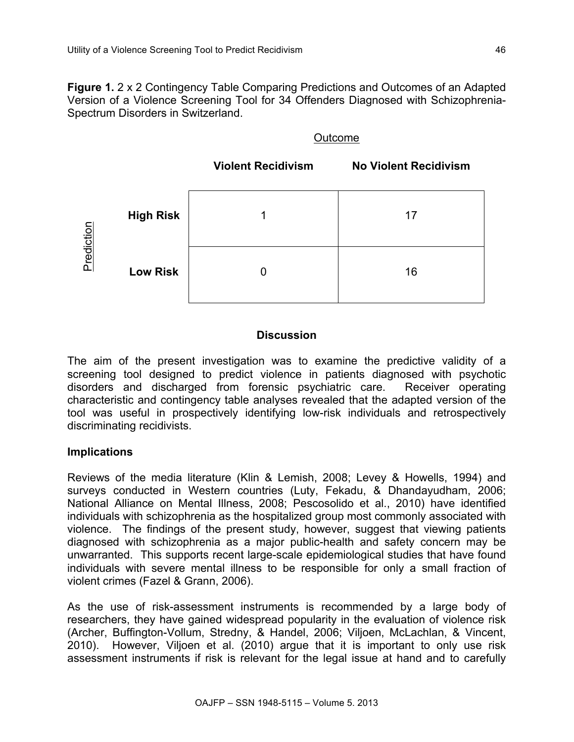**Figure 1.** 2 x 2 Contingency Table Comparing Predictions and Outcomes of an Adapted Version of a Violence Screening Tool for 34 Offenders Diagnosed with Schizophrenia-Spectrum Disorders in Switzerland.

### Outcome



# **Discussion**

The aim of the present investigation was to examine the predictive validity of a screening tool designed to predict violence in patients diagnosed with psychotic disorders and discharged from forensic psychiatric care. Receiver operating characteristic and contingency table analyses revealed that the adapted version of the tool was useful in prospectively identifying low-risk individuals and retrospectively discriminating recidivists.

# **Implications**

Reviews of the media literature (Klin & Lemish, 2008; Levey & Howells, 1994) and surveys conducted in Western countries (Luty, Fekadu, & Dhandayudham, 2006; National Alliance on Mental Illness, 2008; Pescosolido et al., 2010) have identified individuals with schizophrenia as the hospitalized group most commonly associated with violence. The findings of the present study, however, suggest that viewing patients diagnosed with schizophrenia as a major public-health and safety concern may be unwarranted. This supports recent large-scale epidemiological studies that have found individuals with severe mental illness to be responsible for only a small fraction of violent crimes (Fazel & Grann, 2006).

As the use of risk-assessment instruments is recommended by a large body of researchers, they have gained widespread popularity in the evaluation of violence risk (Archer, Buffington-Vollum, Stredny, & Handel, 2006; Viljoen, McLachlan, & Vincent, 2010). However, Viljoen et al. (2010) argue that it is important to only use risk assessment instruments if risk is relevant for the legal issue at hand and to carefully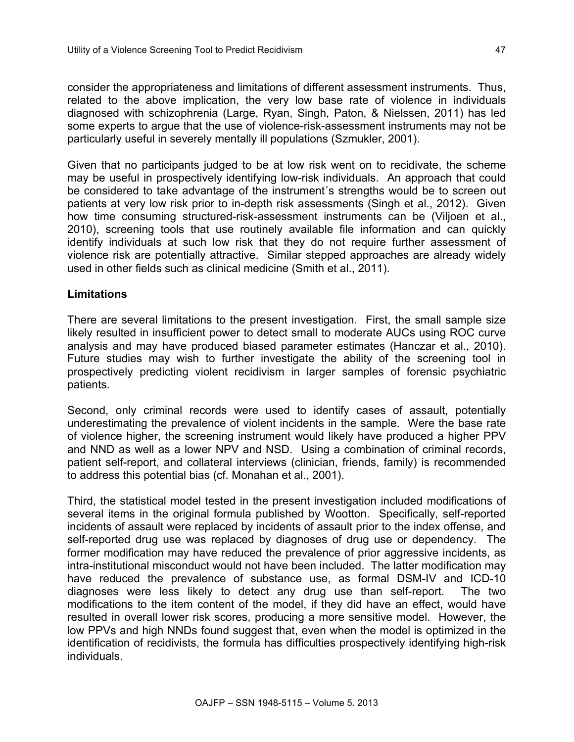consider the appropriateness and limitations of different assessment instruments. Thus, related to the above implication, the very low base rate of violence in individuals diagnosed with schizophrenia (Large, Ryan, Singh, Paton, & Nielssen, 2011) has led some experts to argue that the use of violence-risk-assessment instruments may not be particularly useful in severely mentally ill populations (Szmukler, 2001).

Given that no participants judged to be at low risk went on to recidivate, the scheme may be useful in prospectively identifying low-risk individuals. An approach that could be considered to take advantage of the instrument´s strengths would be to screen out patients at very low risk prior to in-depth risk assessments (Singh et al., 2012). Given how time consuming structured-risk-assessment instruments can be (Viljoen et al., 2010), screening tools that use routinely available file information and can quickly identify individuals at such low risk that they do not require further assessment of violence risk are potentially attractive. Similar stepped approaches are already widely used in other fields such as clinical medicine (Smith et al., 2011).

#### **Limitations**

There are several limitations to the present investigation. First, the small sample size likely resulted in insufficient power to detect small to moderate AUCs using ROC curve analysis and may have produced biased parameter estimates (Hanczar et al., 2010). Future studies may wish to further investigate the ability of the screening tool in prospectively predicting violent recidivism in larger samples of forensic psychiatric patients.

Second, only criminal records were used to identify cases of assault, potentially underestimating the prevalence of violent incidents in the sample. Were the base rate of violence higher, the screening instrument would likely have produced a higher PPV and NND as well as a lower NPV and NSD. Using a combination of criminal records, patient self-report, and collateral interviews (clinician, friends, family) is recommended to address this potential bias (cf. Monahan et al., 2001).

Third, the statistical model tested in the present investigation included modifications of several items in the original formula published by Wootton. Specifically, self-reported incidents of assault were replaced by incidents of assault prior to the index offense, and self-reported drug use was replaced by diagnoses of drug use or dependency. The former modification may have reduced the prevalence of prior aggressive incidents, as intra-institutional misconduct would not have been included. The latter modification may have reduced the prevalence of substance use, as formal DSM-IV and ICD-10 diagnoses were less likely to detect any drug use than self-report. The two modifications to the item content of the model, if they did have an effect, would have resulted in overall lower risk scores, producing a more sensitive model. However, the low PPVs and high NNDs found suggest that, even when the model is optimized in the identification of recidivists, the formula has difficulties prospectively identifying high-risk individuals.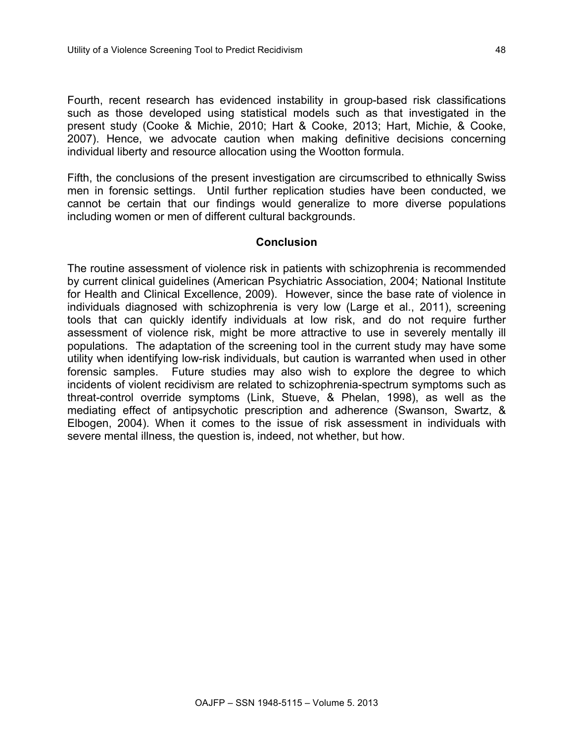Fourth, recent research has evidenced instability in group-based risk classifications such as those developed using statistical models such as that investigated in the present study (Cooke & Michie, 2010; Hart & Cooke, 2013; Hart, Michie, & Cooke, 2007). Hence, we advocate caution when making definitive decisions concerning individual liberty and resource allocation using the Wootton formula.

Fifth, the conclusions of the present investigation are circumscribed to ethnically Swiss men in forensic settings. Until further replication studies have been conducted, we cannot be certain that our findings would generalize to more diverse populations including women or men of different cultural backgrounds.

#### **Conclusion**

The routine assessment of violence risk in patients with schizophrenia is recommended by current clinical guidelines (American Psychiatric Association, 2004; National Institute for Health and Clinical Excellence, 2009). However, since the base rate of violence in individuals diagnosed with schizophrenia is very low (Large et al., 2011), screening tools that can quickly identify individuals at low risk, and do not require further assessment of violence risk, might be more attractive to use in severely mentally ill populations. The adaptation of the screening tool in the current study may have some utility when identifying low-risk individuals, but caution is warranted when used in other forensic samples. Future studies may also wish to explore the degree to which incidents of violent recidivism are related to schizophrenia-spectrum symptoms such as threat-control override symptoms (Link, Stueve, & Phelan, 1998), as well as the mediating effect of antipsychotic prescription and adherence (Swanson, Swartz, & Elbogen, 2004). When it comes to the issue of risk assessment in individuals with severe mental illness, the question is, indeed, not whether, but how.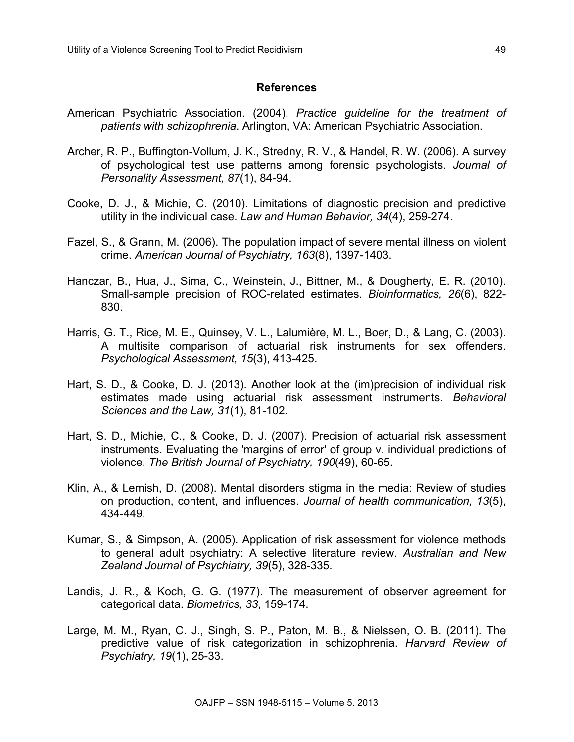## **References**

- American Psychiatric Association. (2004). *Practice guideline for the treatment of patients with schizophrenia*. Arlington, VA: American Psychiatric Association.
- Archer, R. P., Buffington-Vollum, J. K., Stredny, R. V., & Handel, R. W. (2006). A survey of psychological test use patterns among forensic psychologists. *Journal of Personality Assessment, 87*(1), 84-94.
- Cooke, D. J., & Michie, C. (2010). Limitations of diagnostic precision and predictive utility in the individual case. *Law and Human Behavior, 34*(4), 259-274.
- Fazel, S., & Grann, M. (2006). The population impact of severe mental illness on violent crime. *American Journal of Psychiatry, 163*(8), 1397-1403.
- Hanczar, B., Hua, J., Sima, C., Weinstein, J., Bittner, M., & Dougherty, E. R. (2010). Small-sample precision of ROC-related estimates. *Bioinformatics, 26*(6), 822- 830.
- Harris, G. T., Rice, M. E., Quinsey, V. L., Lalumière, M. L., Boer, D., & Lang, C. (2003). A multisite comparison of actuarial risk instruments for sex offenders. *Psychological Assessment, 15*(3), 413-425.
- Hart, S. D., & Cooke, D. J. (2013). Another look at the (im)precision of individual risk estimates made using actuarial risk assessment instruments. *Behavioral Sciences and the Law, 31*(1), 81-102.
- Hart, S. D., Michie, C., & Cooke, D. J. (2007). Precision of actuarial risk assessment instruments. Evaluating the 'margins of error' of group v. individual predictions of violence. *The British Journal of Psychiatry, 190*(49), 60-65.
- Klin, A., & Lemish, D. (2008). Mental disorders stigma in the media: Review of studies on production, content, and influences. *Journal of health communication, 13*(5), 434-449.
- Kumar, S., & Simpson, A. (2005). Application of risk assessment for violence methods to general adult psychiatry: A selective literature review. *Australian and New Zealand Journal of Psychiatry, 39*(5), 328-335.
- Landis, J. R., & Koch, G. G. (1977). The measurement of observer agreement for categorical data. *Biometrics, 33*, 159-174.
- Large, M. M., Ryan, C. J., Singh, S. P., Paton, M. B., & Nielssen, O. B. (2011). The predictive value of risk categorization in schizophrenia. *Harvard Review of Psychiatry, 19*(1), 25-33.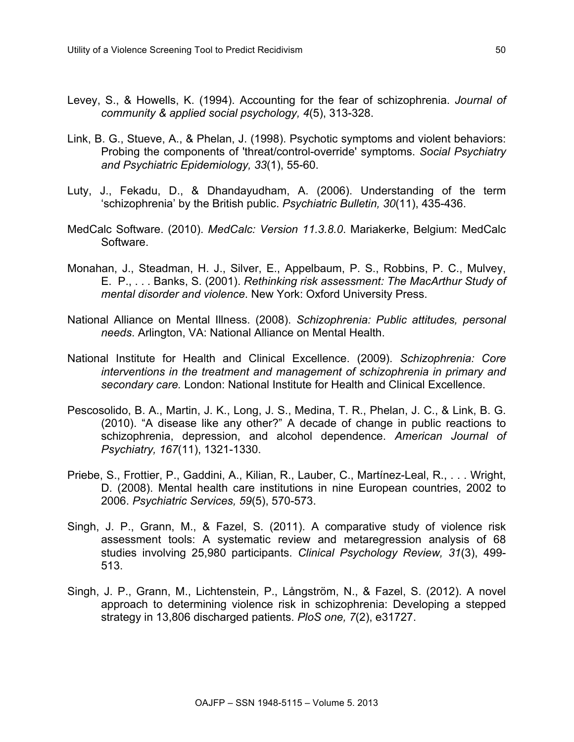- Levey, S., & Howells, K. (1994). Accounting for the fear of schizophrenia. *Journal of community & applied social psychology, 4*(5), 313-328.
- Link, B. G., Stueve, A., & Phelan, J. (1998). Psychotic symptoms and violent behaviors: Probing the components of 'threat/control-override' symptoms. *Social Psychiatry and Psychiatric Epidemiology, 33*(1), 55-60.
- Luty, J., Fekadu, D., & Dhandayudham, A. (2006). Understanding of the term 'schizophrenia' by the British public. *Psychiatric Bulletin, 30*(11), 435-436.
- MedCalc Software. (2010). *MedCalc: Version 11.3.8.0*. Mariakerke, Belgium: MedCalc Software.
- Monahan, J., Steadman, H. J., Silver, E., Appelbaum, P. S., Robbins, P. C., Mulvey, E. P., . . . Banks, S. (2001). *Rethinking risk assessment: The MacArthur Study of mental disorder and violence*. New York: Oxford University Press.
- National Alliance on Mental Illness. (2008). *Schizophrenia: Public attitudes, personal needs*. Arlington, VA: National Alliance on Mental Health.
- National Institute for Health and Clinical Excellence. (2009). *Schizophrenia: Core interventions in the treatment and management of schizophrenia in primary and secondary care.* London: National Institute for Health and Clinical Excellence.
- Pescosolido, B. A., Martin, J. K., Long, J. S., Medina, T. R., Phelan, J. C., & Link, B. G. (2010). "A disease like any other?" A decade of change in public reactions to schizophrenia, depression, and alcohol dependence. *American Journal of Psychiatry, 167*(11), 1321-1330.
- Priebe, S., Frottier, P., Gaddini, A., Kilian, R., Lauber, C., Martínez-Leal, R., . . . Wright, D. (2008). Mental health care institutions in nine European countries, 2002 to 2006. *Psychiatric Services, 59*(5), 570-573.
- Singh, J. P., Grann, M., & Fazel, S. (2011). A comparative study of violence risk assessment tools: A systematic review and metaregression analysis of 68 studies involving 25,980 participants. *Clinical Psychology Review, 31*(3), 499- 513.
- Singh, J. P., Grann, M., Lichtenstein, P., Långström, N., & Fazel, S. (2012). A novel approach to determining violence risk in schizophrenia: Developing a stepped strategy in 13,806 discharged patients. *PloS one, 7*(2), e31727.